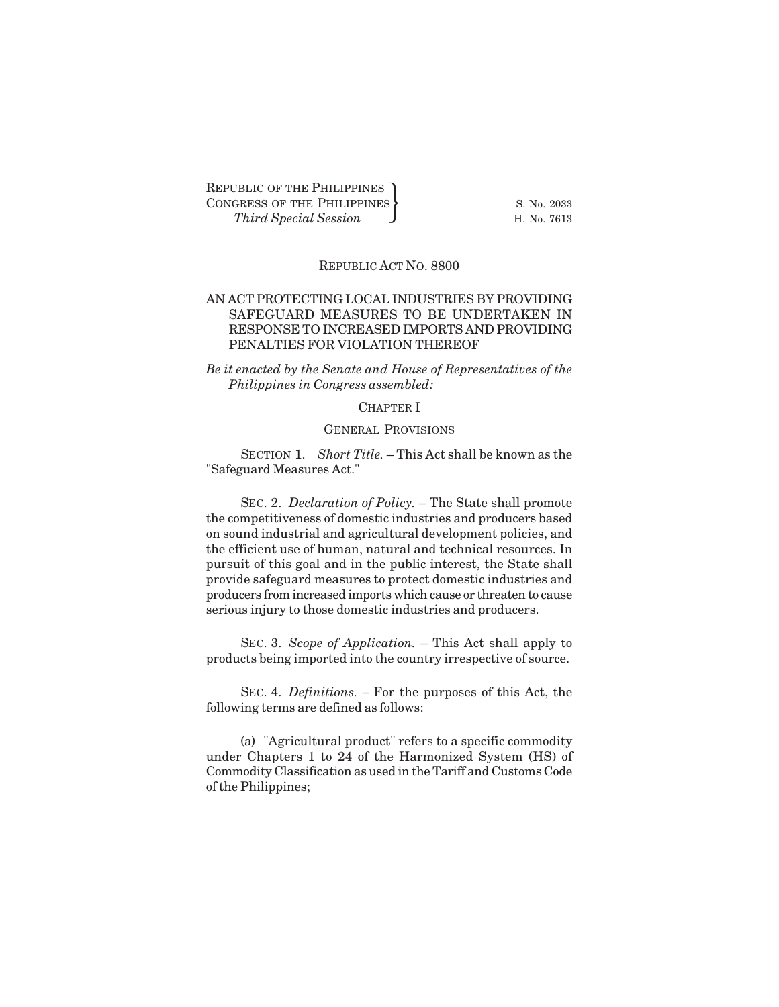REPUBLIC OF THE PHILIPPINES CONGRESS OF THE PHILIPPINES S. No. 2033 *THE PHILIPPINES*<br> *Third Special Session*<br> *Third Special Session* 

# REPUBLIC ACT NO. 8800

## AN ACT PROTECTING LOCAL INDUSTRIES BY PROVIDING SAFEGUARD MEASURES TO BE UNDERTAKEN IN RESPONSE TO INCREASED IMPORTS AND PROVIDING PENALTIES FOR VIOLATION THEREOF

*Be it enacted by the Senate and House of Representatives of the Philippines in Congress assembled:*

# CHAPTER I

### GENERAL PROVISIONS

SECTION 1. *Short Title.* – This Act shall be known as the "Safeguard Measures Act."

SEC. 2. *Declaration of Policy.* – The State shall promote the competitiveness of domestic industries and producers based on sound industrial and agricultural development policies, and the efficient use of human, natural and technical resources. In pursuit of this goal and in the public interest, the State shall provide safeguard measures to protect domestic industries and producers from increased imports which cause or threaten to cause serious injury to those domestic industries and producers.

SEC. 3. *Scope of Application.* – This Act shall apply to products being imported into the country irrespective of source.

SEC. 4. *Definitions. –* For the purposes of this Act, the following terms are defined as follows:

(a) "Agricultural product" refers to a specific commodity under Chapters 1 to 24 of the Harmonized System (HS) of Commodity Classification as used in the Tariff and Customs Code of the Philippines;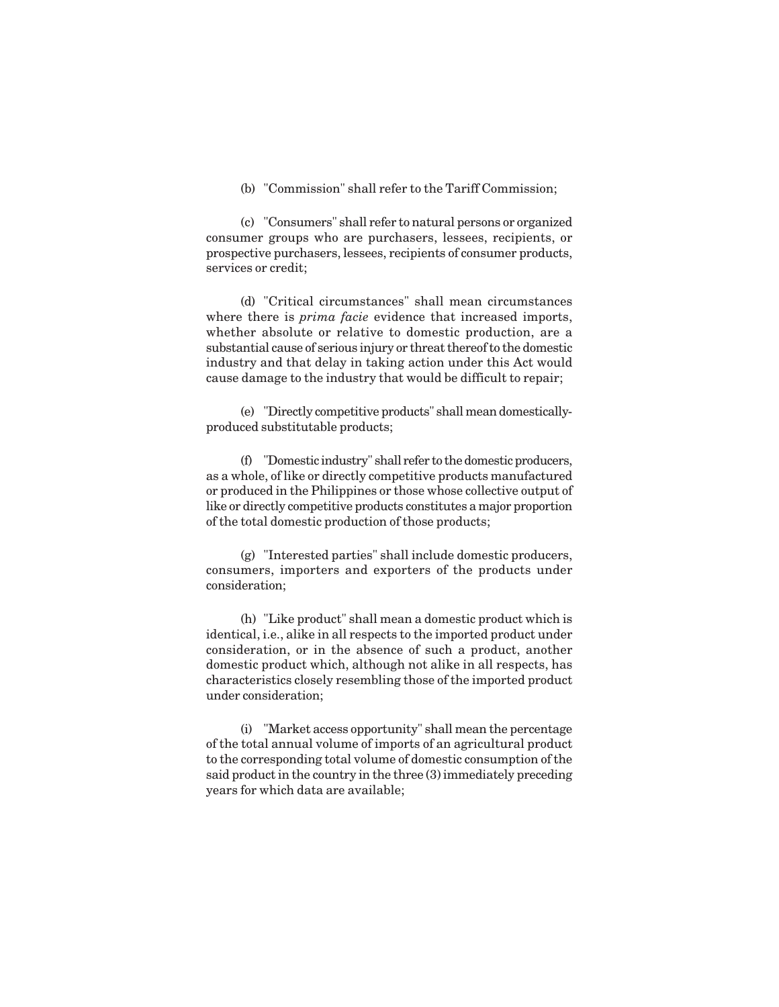(b) "Commission" shall refer to the Tariff Commission;

(c) "Consumers" shall refer to natural persons or organized consumer groups who are purchasers, lessees, recipients, or prospective purchasers, lessees, recipients of consumer products, services or credit;

(d) "Critical circumstances" shall mean circumstances where there is *prima facie* evidence that increased imports, whether absolute or relative to domestic production, are a substantial cause of serious injury or threat thereof to the domestic industry and that delay in taking action under this Act would cause damage to the industry that would be difficult to repair;

(e) "Directly competitive products" shall mean domesticallyproduced substitutable products;

(f) "Domestic industry" shall refer to the domestic producers, as a whole, of like or directly competitive products manufactured or produced in the Philippines or those whose collective output of like or directly competitive products constitutes a major proportion of the total domestic production of those products;

(g) "Interested parties" shall include domestic producers, consumers, importers and exporters of the products under consideration;

(h) "Like product" shall mean a domestic product which is identical, i.e., alike in all respects to the imported product under consideration, or in the absence of such a product, another domestic product which, although not alike in all respects, has characteristics closely resembling those of the imported product under consideration;

(i) "Market access opportunity" shall mean the percentage of the total annual volume of imports of an agricultural product to the corresponding total volume of domestic consumption of the said product in the country in the three (3) immediately preceding years for which data are available;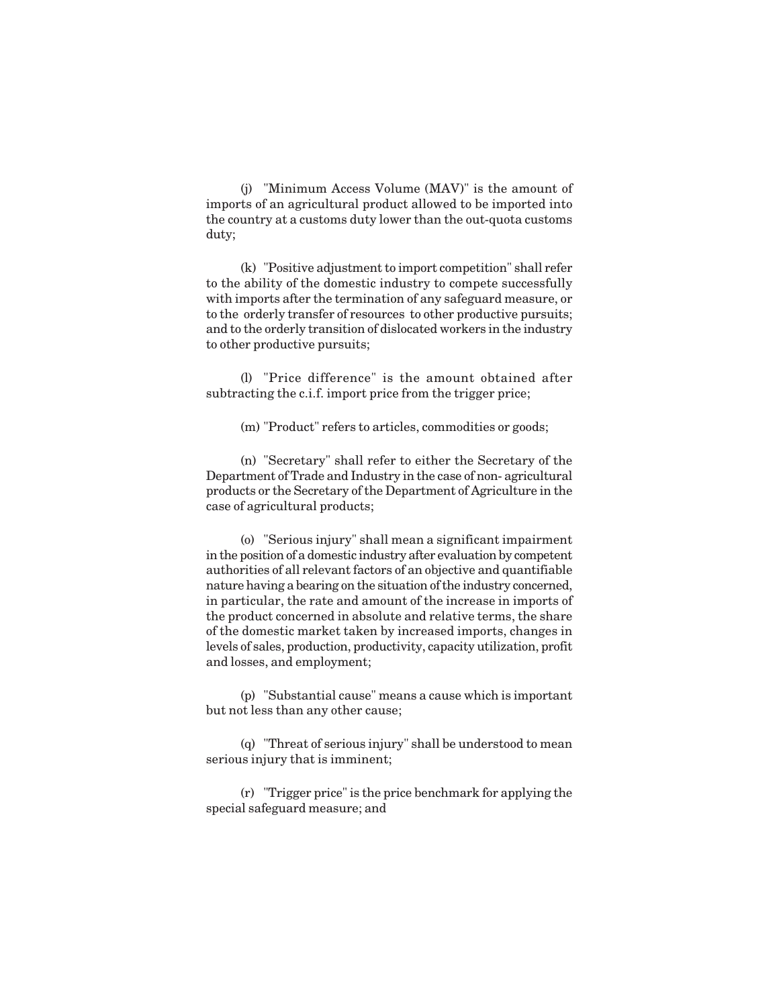(j) "Minimum Access Volume (MAV)" is the amount of imports of an agricultural product allowed to be imported into the country at a customs duty lower than the out-quota customs duty;

(k) "Positive adjustment to import competition" shall refer to the ability of the domestic industry to compete successfully with imports after the termination of any safeguard measure, or to the orderly transfer of resources to other productive pursuits; and to the orderly transition of dislocated workers in the industry to other productive pursuits;

(l) "Price difference" is the amount obtained after subtracting the c.i.f. import price from the trigger price;

(m) "Product" refers to articles, commodities or goods;

(n) "Secretary" shall refer to either the Secretary of the Department of Trade and Industry in the case of non- agricultural products or the Secretary of the Department of Agriculture in the case of agricultural products;

(o) "Serious injury" shall mean a significant impairment in the position of a domestic industry after evaluation by competent authorities of all relevant factors of an objective and quantifiable nature having a bearing on the situation of the industry concerned, in particular, the rate and amount of the increase in imports of the product concerned in absolute and relative terms, the share of the domestic market taken by increased imports, changes in levels of sales, production, productivity, capacity utilization, profit and losses, and employment;

(p) "Substantial cause" means a cause which is important but not less than any other cause;

(q) "Threat of serious injury" shall be understood to mean serious injury that is imminent;

(r) "Trigger price" is the price benchmark for applying the special safeguard measure; and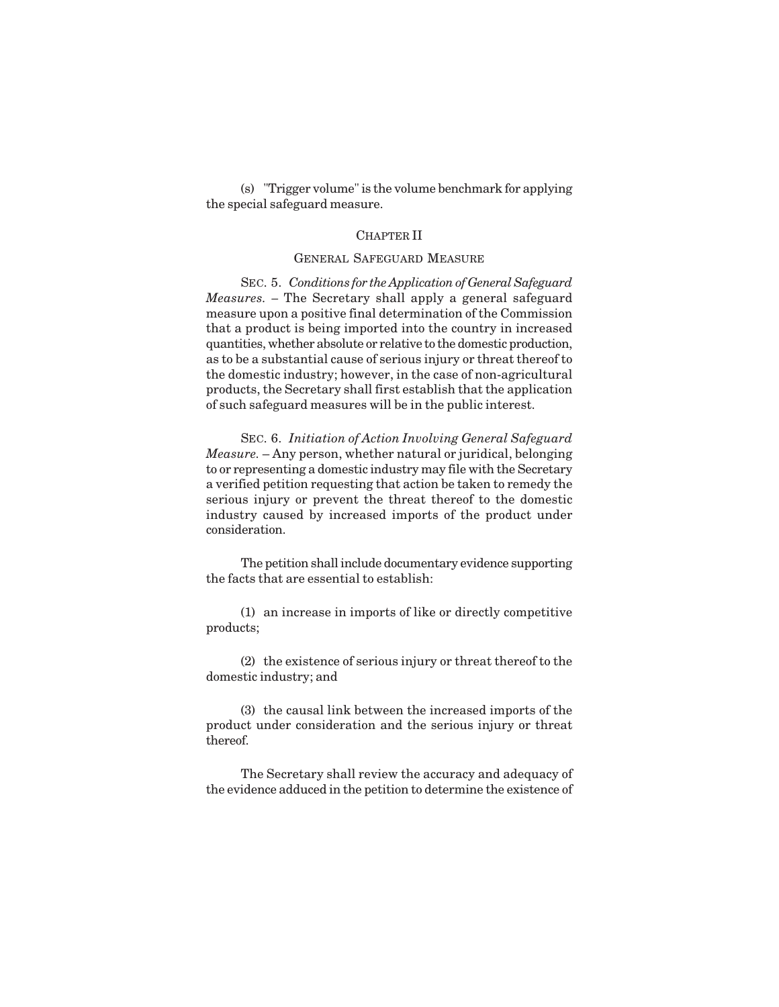(s) "Trigger volume" is the volume benchmark for applying the special safeguard measure.

#### CHAPTER II

### GENERAL SAFEGUARD MEASURE

SEC. 5. *Conditions for the Application of General Safeguard Measures. –* The Secretary shall apply a general safeguard measure upon a positive final determination of the Commission that a product is being imported into the country in increased quantities, whether absolute or relative to the domestic production, as to be a substantial cause of serious injury or threat thereof to the domestic industry; however, in the case of non-agricultural products, the Secretary shall first establish that the application of such safeguard measures will be in the public interest.

SEC. 6. *Initiation of Action Involving General Safeguard Measure.* – Any person, whether natural or juridical, belonging to or representing a domestic industry may file with the Secretary a verified petition requesting that action be taken to remedy the serious injury or prevent the threat thereof to the domestic industry caused by increased imports of the product under consideration.

The petition shall include documentary evidence supporting the facts that are essential to establish:

(1) an increase in imports of like or directly competitive products;

(2) the existence of serious injury or threat thereof to the domestic industry; and

(3) the causal link between the increased imports of the product under consideration and the serious injury or threat thereof.

The Secretary shall review the accuracy and adequacy of the evidence adduced in the petition to determine the existence of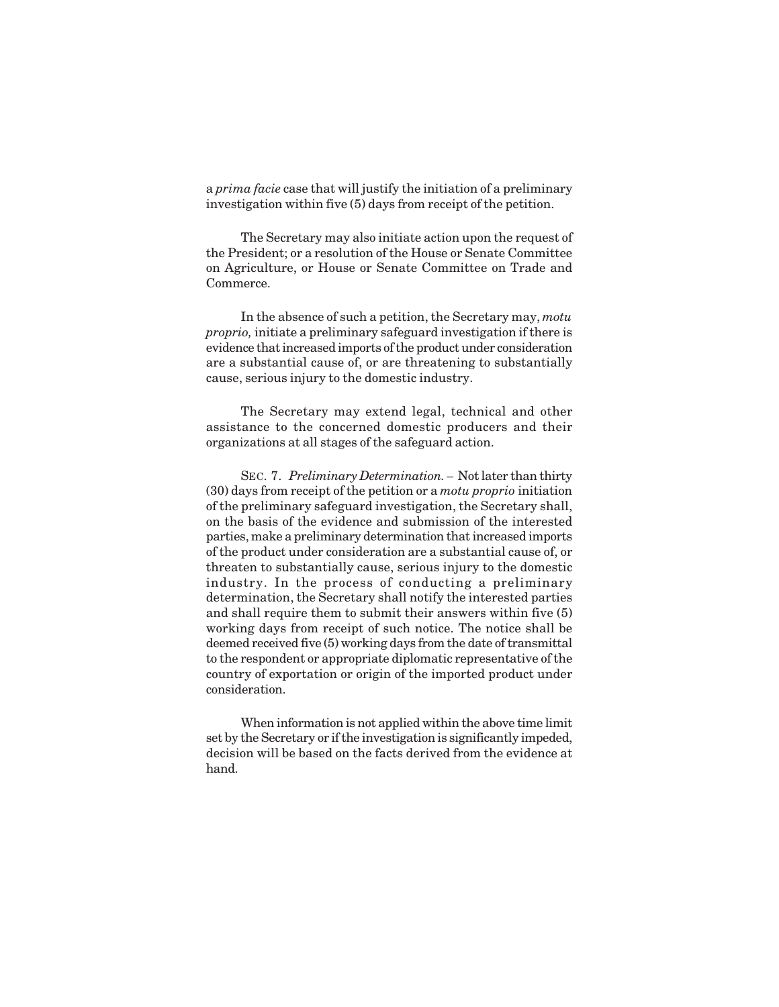a *prima facie* case that will justify the initiation of a preliminary investigation within five (5) days from receipt of the petition.

The Secretary may also initiate action upon the request of the President; or a resolution of the House or Senate Committee on Agriculture, or House or Senate Committee on Trade and Commerce.

In the absence of such a petition, the Secretary may, *motu proprio,* initiate a preliminary safeguard investigation if there is evidence that increased imports of the product under consideration are a substantial cause of, or are threatening to substantially cause, serious injury to the domestic industry.

The Secretary may extend legal, technical and other assistance to the concerned domestic producers and their organizations at all stages of the safeguard action.

SEC. 7. *Preliminary Determination. –* Not later than thirty (30) days from receipt of the petition or a *motu proprio* initiation of the preliminary safeguard investigation, the Secretary shall, on the basis of the evidence and submission of the interested parties, make a preliminary determination that increased imports of the product under consideration are a substantial cause of, or threaten to substantially cause, serious injury to the domestic industry. In the process of conducting a preliminary determination, the Secretary shall notify the interested parties and shall require them to submit their answers within five (5) working days from receipt of such notice. The notice shall be deemed received five (5) working days from the date of transmittal to the respondent or appropriate diplomatic representative of the country of exportation or origin of the imported product under consideration.

When information is not applied within the above time limit set by the Secretary or if the investigation is significantly impeded, decision will be based on the facts derived from the evidence at hand.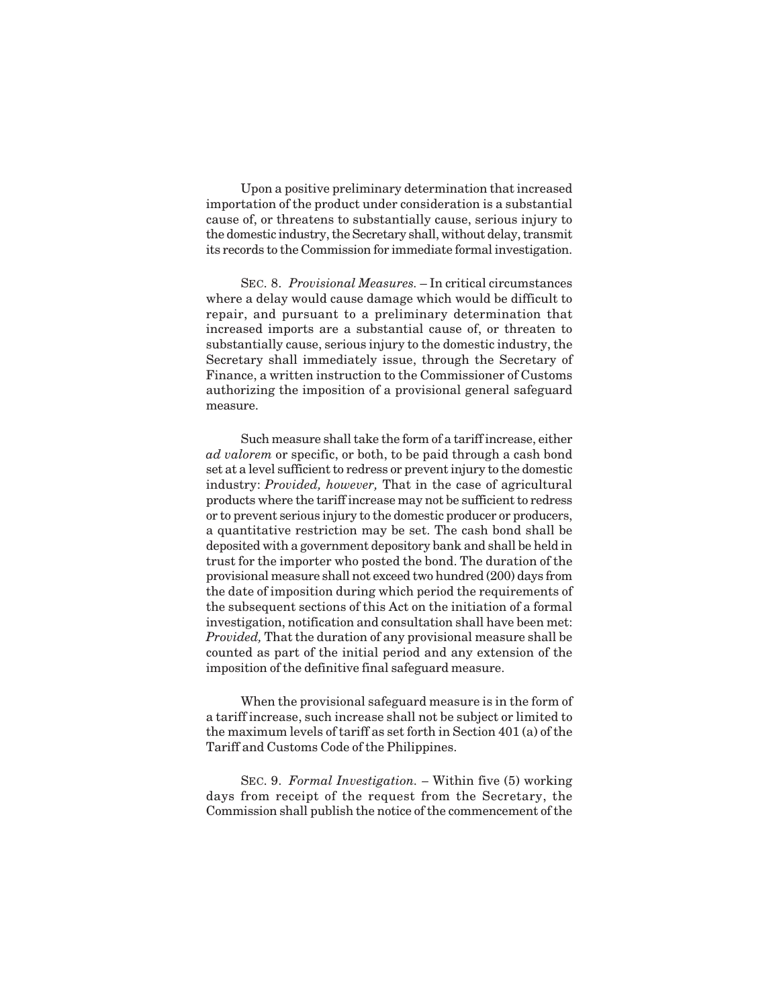Upon a positive preliminary determination that increased importation of the product under consideration is a substantial cause of, or threatens to substantially cause, serious injury to the domestic industry, the Secretary shall, without delay, transmit its records to the Commission for immediate formal investigation.

SEC. 8. *Provisional Measures.* – In critical circumstances where a delay would cause damage which would be difficult to repair, and pursuant to a preliminary determination that increased imports are a substantial cause of, or threaten to substantially cause, serious injury to the domestic industry, the Secretary shall immediately issue, through the Secretary of Finance, a written instruction to the Commissioner of Customs authorizing the imposition of a provisional general safeguard measure.

Such measure shall take the form of a tariff increase, either *ad valorem* or specific, or both, to be paid through a cash bond set at a level sufficient to redress or prevent injury to the domestic industry: *Provided, however,* That in the case of agricultural products where the tariff increase may not be sufficient to redress or to prevent serious injury to the domestic producer or producers, a quantitative restriction may be set. The cash bond shall be deposited with a government depository bank and shall be held in trust for the importer who posted the bond. The duration of the provisional measure shall not exceed two hundred (200) days from the date of imposition during which period the requirements of the subsequent sections of this Act on the initiation of a formal investigation, notification and consultation shall have been met: *Provided,* That the duration of any provisional measure shall be counted as part of the initial period and any extension of the imposition of the definitive final safeguard measure.

When the provisional safeguard measure is in the form of a tariff increase, such increase shall not be subject or limited to the maximum levels of tariff as set forth in Section 401 (a) of the Tariff and Customs Code of the Philippines.

SEC. 9. *Formal Investigation. –* Within five (5) working days from receipt of the request from the Secretary, the Commission shall publish the notice of the commencement of the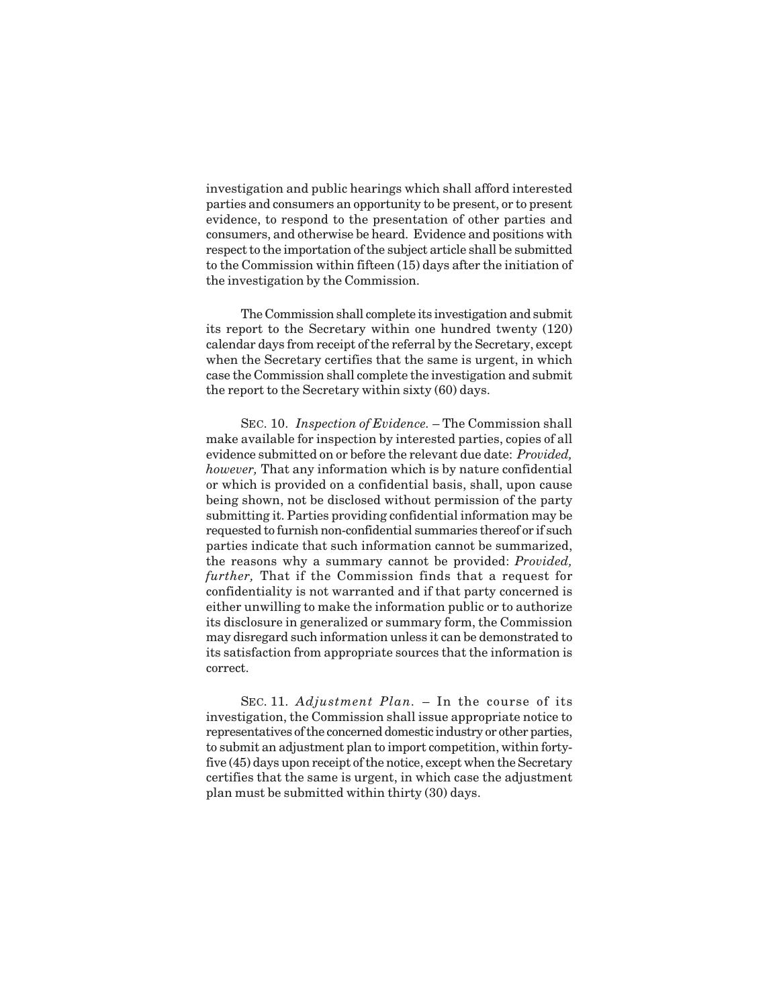investigation and public hearings which shall afford interested parties and consumers an opportunity to be present, or to present evidence, to respond to the presentation of other parties and consumers, and otherwise be heard. Evidence and positions with respect to the importation of the subject article shall be submitted to the Commission within fifteen (15) days after the initiation of the investigation by the Commission.

The Commission shall complete its investigation and submit its report to the Secretary within one hundred twenty (120) calendar days from receipt of the referral by the Secretary, except when the Secretary certifies that the same is urgent, in which case the Commission shall complete the investigation and submit the report to the Secretary within sixty (60) days.

SEC. 10. *Inspection of Evidence.* – The Commission shall make available for inspection by interested parties, copies of all evidence submitted on or before the relevant due date: *Provided, however,* That any information which is by nature confidential or which is provided on a confidential basis, shall, upon cause being shown, not be disclosed without permission of the party submitting it. Parties providing confidential information may be requested to furnish non-confidential summaries thereof or if such parties indicate that such information cannot be summarized, the reasons why a summary cannot be provided: *Provided, further,* That if the Commission finds that a request for confidentiality is not warranted and if that party concerned is either unwilling to make the information public or to authorize its disclosure in generalized or summary form, the Commission may disregard such information unless it can be demonstrated to its satisfaction from appropriate sources that the information is correct.

SEC. 11. *Adjustment Plan.* – In the course of its investigation, the Commission shall issue appropriate notice to representatives of the concerned domestic industry or other parties, to submit an adjustment plan to import competition, within fortyfive (45) days upon receipt of the notice, except when the Secretary certifies that the same is urgent, in which case the adjustment plan must be submitted within thirty (30) days.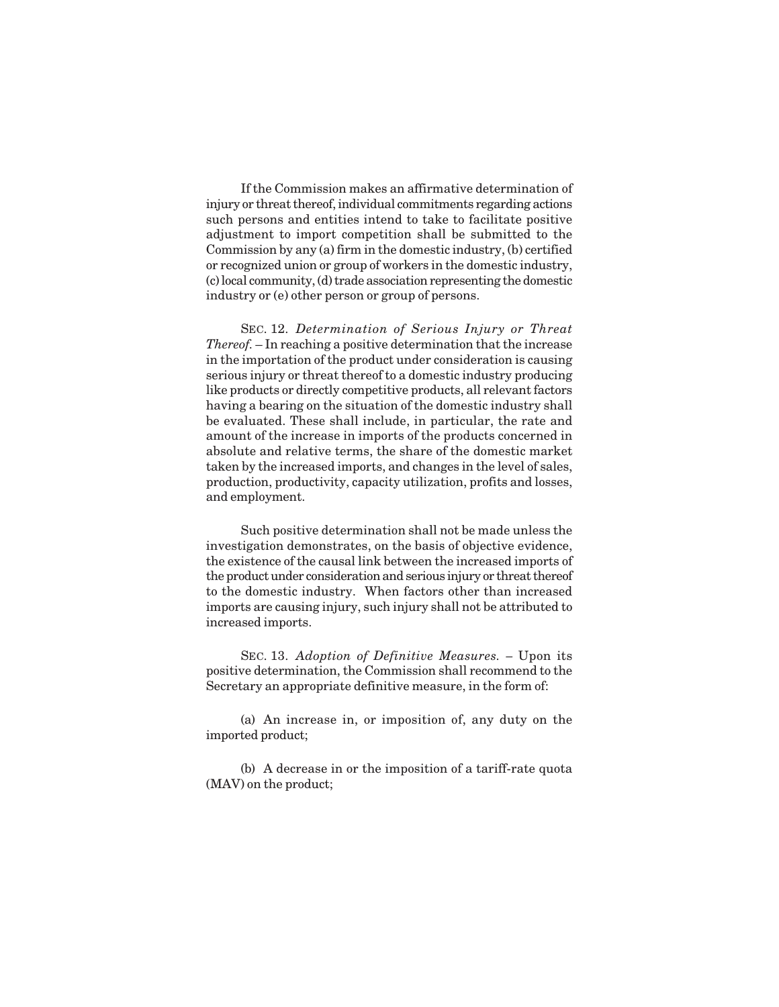If the Commission makes an affirmative determination of injury or threat thereof, individual commitments regarding actions such persons and entities intend to take to facilitate positive adjustment to import competition shall be submitted to the Commission by any (a) firm in the domestic industry, (b) certified or recognized union or group of workers in the domestic industry, (c) local community, (d) trade association representing the domestic industry or (e) other person or group of persons.

SEC. 12. *Determination of Serious Injury or Threat Thereof.* – In reaching a positive determination that the increase in the importation of the product under consideration is causing serious injury or threat thereof to a domestic industry producing like products or directly competitive products, all relevant factors having a bearing on the situation of the domestic industry shall be evaluated. These shall include, in particular, the rate and amount of the increase in imports of the products concerned in absolute and relative terms, the share of the domestic market taken by the increased imports, and changes in the level of sales, production, productivity, capacity utilization, profits and losses, and employment.

Such positive determination shall not be made unless the investigation demonstrates, on the basis of objective evidence, the existence of the causal link between the increased imports of the product under consideration and serious injury or threat thereof to the domestic industry. When factors other than increased imports are causing injury, such injury shall not be attributed to increased imports.

SEC. 13. *Adoption of Definitive Measures. –* Upon its positive determination, the Commission shall recommend to the Secretary an appropriate definitive measure, in the form of:

(a) An increase in, or imposition of, any duty on the imported product;

(b) A decrease in or the imposition of a tariff-rate quota (MAV) on the product;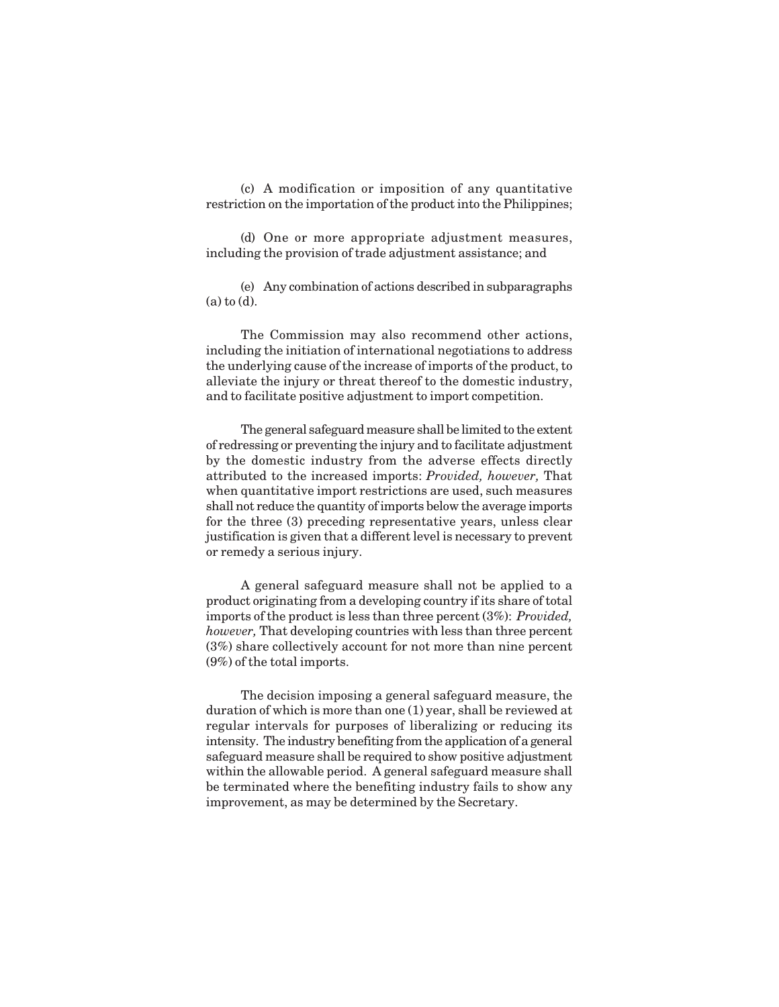(c) A modification or imposition of any quantitative restriction on the importation of the product into the Philippines;

(d) One or more appropriate adjustment measures, including the provision of trade adjustment assistance; and

(e) Any combination of actions described in subparagraphs (a) to (d).

The Commission may also recommend other actions, including the initiation of international negotiations to address the underlying cause of the increase of imports of the product, to alleviate the injury or threat thereof to the domestic industry, and to facilitate positive adjustment to import competition.

The general safeguard measure shall be limited to the extent of redressing or preventing the injury and to facilitate adjustment by the domestic industry from the adverse effects directly attributed to the increased imports: *Provided, however,* That when quantitative import restrictions are used, such measures shall not reduce the quantity of imports below the average imports for the three (3) preceding representative years, unless clear justification is given that a different level is necessary to prevent or remedy a serious injury.

A general safeguard measure shall not be applied to a product originating from a developing country if its share of total imports of the product is less than three percent (3%): *Provided, however,* That developing countries with less than three percent (3%) share collectively account for not more than nine percent (9%) of the total imports.

The decision imposing a general safeguard measure, the duration of which is more than one (1) year, shall be reviewed at regular intervals for purposes of liberalizing or reducing its intensity. The industry benefiting from the application of a general safeguard measure shall be required to show positive adjustment within the allowable period. A general safeguard measure shall be terminated where the benefiting industry fails to show any improvement, as may be determined by the Secretary.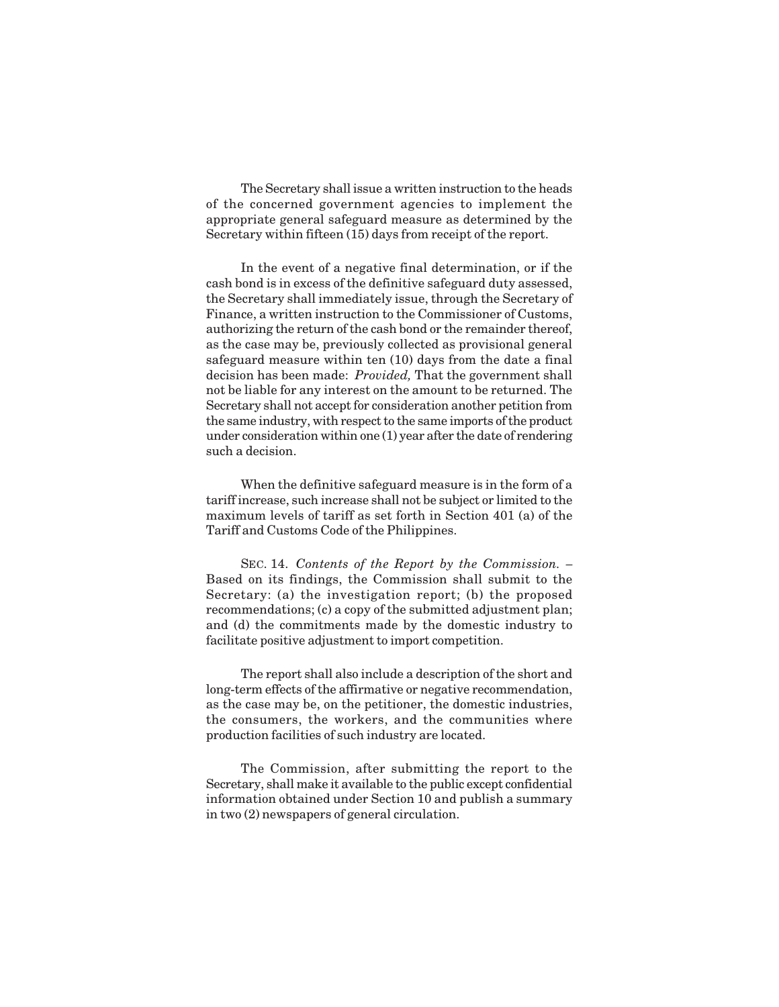The Secretary shall issue a written instruction to the heads of the concerned government agencies to implement the appropriate general safeguard measure as determined by the Secretary within fifteen (15) days from receipt of the report.

In the event of a negative final determination, or if the cash bond is in excess of the definitive safeguard duty assessed, the Secretary shall immediately issue, through the Secretary of Finance, a written instruction to the Commissioner of Customs, authorizing the return of the cash bond or the remainder thereof, as the case may be, previously collected as provisional general safeguard measure within ten (10) days from the date a final decision has been made: *Provided,* That the government shall not be liable for any interest on the amount to be returned. The Secretary shall not accept for consideration another petition from the same industry, with respect to the same imports of the product under consideration within one (1) year after the date of rendering such a decision.

When the definitive safeguard measure is in the form of a tariff increase, such increase shall not be subject or limited to the maximum levels of tariff as set forth in Section 401 (a) of the Tariff and Customs Code of the Philippines.

SEC. 14. *Contents of the Report by the Commission. –* Based on its findings, the Commission shall submit to the Secretary: (a) the investigation report; (b) the proposed recommendations; (c) a copy of the submitted adjustment plan; and (d) the commitments made by the domestic industry to facilitate positive adjustment to import competition.

The report shall also include a description of the short and long-term effects of the affirmative or negative recommendation, as the case may be, on the petitioner, the domestic industries, the consumers, the workers, and the communities where production facilities of such industry are located.

The Commission, after submitting the report to the Secretary, shall make it available to the public except confidential information obtained under Section 10 and publish a summary in two (2) newspapers of general circulation.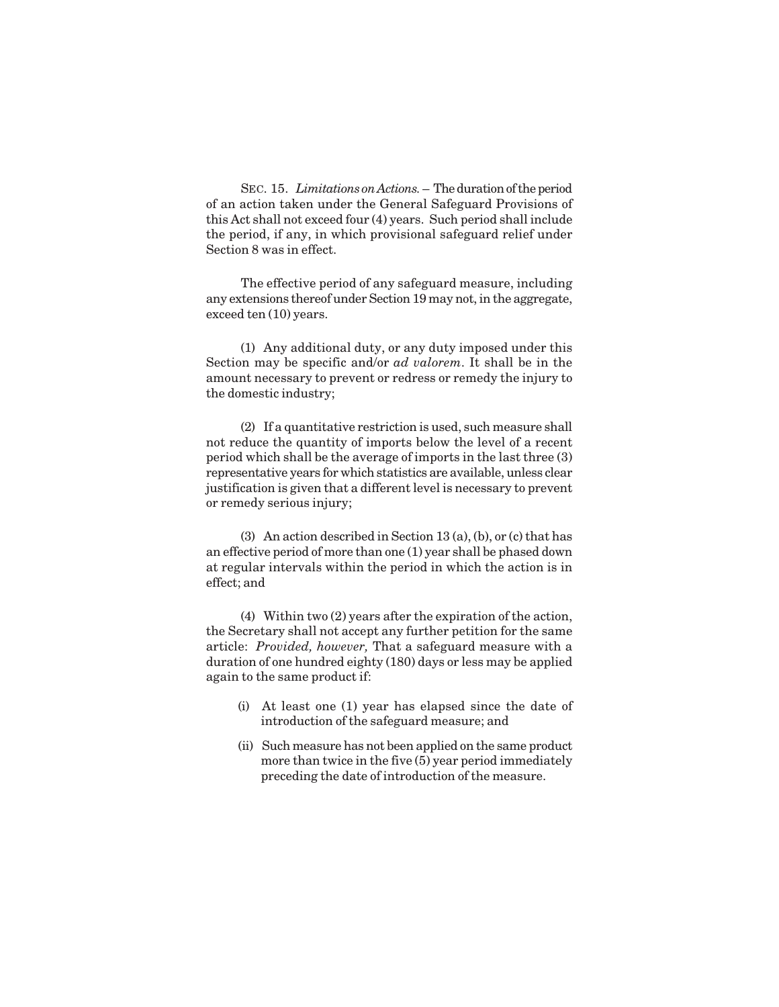SEC. 15. *Limitations on Actions.* – The duration of the period of an action taken under the General Safeguard Provisions of this Act shall not exceed four (4) years. Such period shall include the period, if any, in which provisional safeguard relief under Section 8 was in effect.

The effective period of any safeguard measure, including any extensions thereof under Section 19 may not, in the aggregate, exceed ten (10) years.

(1) Any additional duty, or any duty imposed under this Section may be specific and/or *ad valorem*. It shall be in the amount necessary to prevent or redress or remedy the injury to the domestic industry;

(2) If a quantitative restriction is used, such measure shall not reduce the quantity of imports below the level of a recent period which shall be the average of imports in the last three (3) representative years for which statistics are available, unless clear justification is given that a different level is necessary to prevent or remedy serious injury;

(3) An action described in Section 13 (a), (b), or (c) that has an effective period of more than one (1) year shall be phased down at regular intervals within the period in which the action is in effect; and

(4) Within two (2) years after the expiration of the action, the Secretary shall not accept any further petition for the same article: *Provided, however,* That a safeguard measure with a duration of one hundred eighty (180) days or less may be applied again to the same product if:

- (i) At least one (1) year has elapsed since the date of introduction of the safeguard measure; and
- (ii) Such measure has not been applied on the same product more than twice in the five (5) year period immediately preceding the date of introduction of the measure.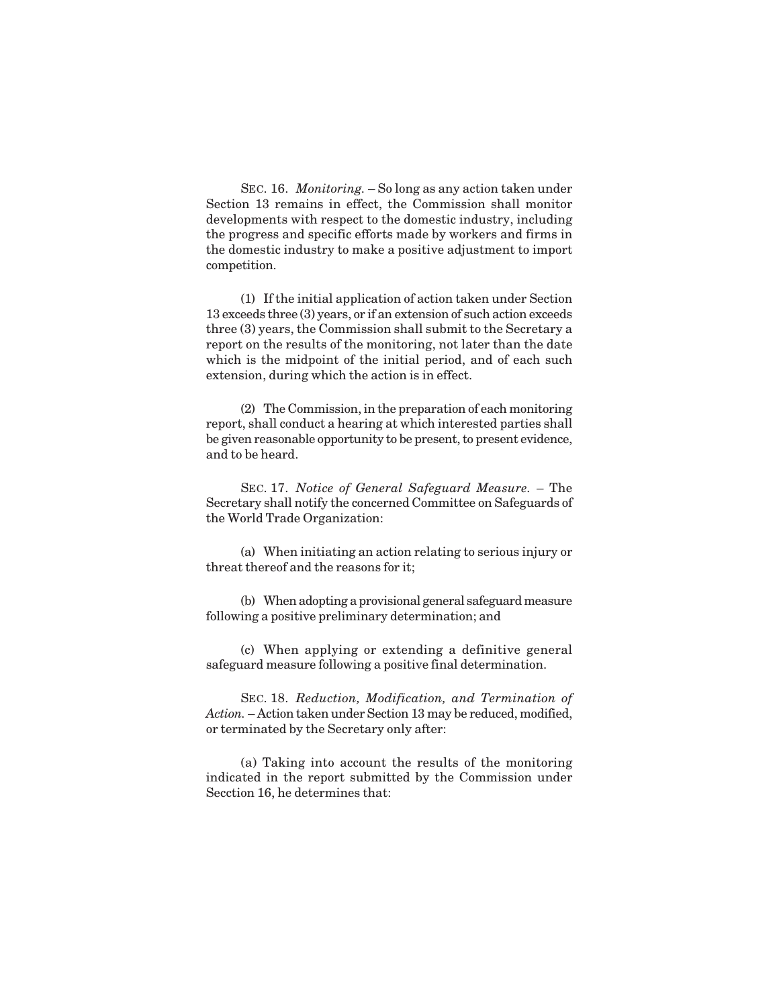SEC. 16. *Monitoring.* – So long as any action taken under Section 13 remains in effect, the Commission shall monitor developments with respect to the domestic industry, including the progress and specific efforts made by workers and firms in the domestic industry to make a positive adjustment to import competition.

(1) If the initial application of action taken under Section 13 exceeds three (3) years, or if an extension of such action exceeds three (3) years, the Commission shall submit to the Secretary a report on the results of the monitoring, not later than the date which is the midpoint of the initial period, and of each such extension, during which the action is in effect.

(2) The Commission, in the preparation of each monitoring report, shall conduct a hearing at which interested parties shall be given reasonable opportunity to be present, to present evidence, and to be heard.

SEC. 17. *Notice of General Safeguard Measure.* – The Secretary shall notify the concerned Committee on Safeguards of the World Trade Organization:

(a) When initiating an action relating to serious injury or threat thereof and the reasons for it;

(b) When adopting a provisional general safeguard measure following a positive preliminary determination; and

(c) When applying or extending a definitive general safeguard measure following a positive final determination.

SEC. 18. *Reduction, Modification, and Termination of Action.* – Action taken under Section 13 may be reduced, modified, or terminated by the Secretary only after:

(a) Taking into account the results of the monitoring indicated in the report submitted by the Commission under Secction 16, he determines that: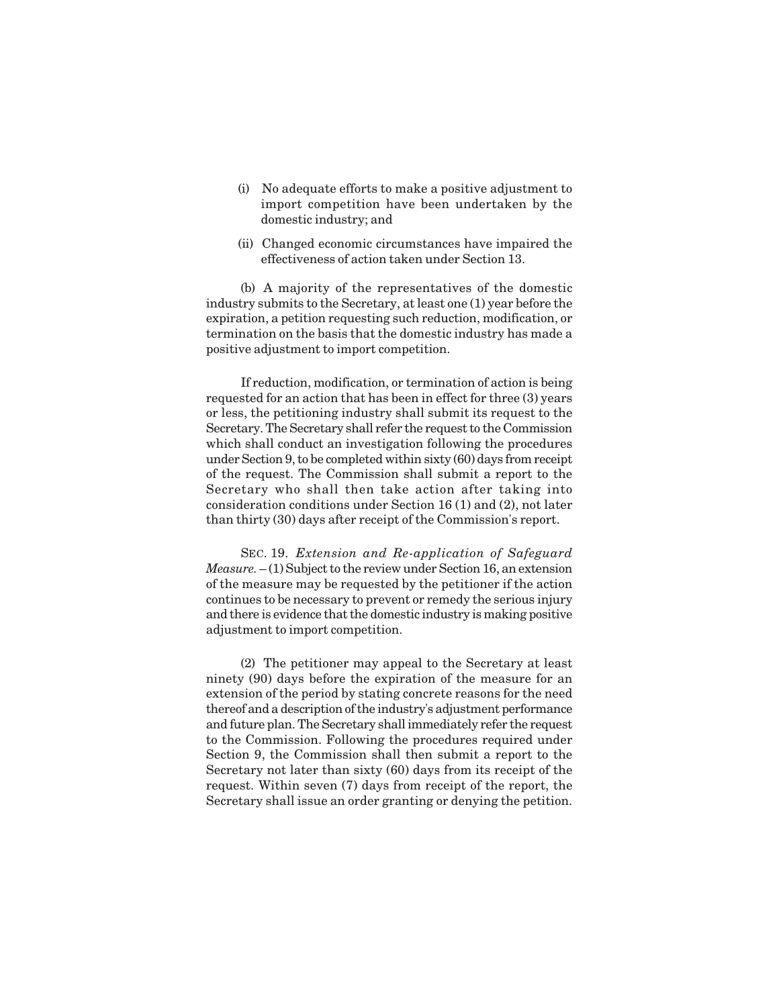- (i) No adequate efforts to make a positive adjustment to import competition have been undertaken by the domestic industry; and
- (ii) Changed economic circumstances have impaired the effectiveness of action taken under Section 13.

(b) A majority of the representatives of the domestic industry submits to the Secretary, at least one (1) year before the expiration, a petition requesting such reduction, modification, or termination on the basis that the domestic industry has made a positive adjustment to import competition.

If reduction, modification, or termination of action is being requested for an action that has been in effect for three (3) years or less, the petitioning industry shall submit its request to the Secretary. The Secretary shall refer the request to the Commission which shall conduct an investigation following the procedures under Section 9, to be completed within sixty (60) days from receipt of the request. The Commission shall submit a report to the Secretary who shall then take action after taking into consideration conditions under Section 16 (1) and (2), not later than thirty (30) days after receipt of the Commission's report.

SEC. 19. *Extension and Re-application of Safeguard Measure.*  $- (1)$  Subject to the review under Section 16, an extension of the measure may be requested by the petitioner if the action continues to be necessary to prevent or remedy the serious injury and there is evidence that the domestic industry is making positive adjustment to import competition.

(2) The petitioner may appeal to the Secretary at least ninety (90) days before the expiration of the measure for an extension of the period by stating concrete reasons for the need thereof and a description of the industry's adjustment performance and future plan. The Secretary shall immediately refer the request to the Commission. Following the procedures required under Section 9, the Commission shall then submit a report to the Secretary not later than sixty (60) days from its receipt of the request. Within seven (7) days from receipt of the report, the Secretary shall issue an order granting or denying the petition.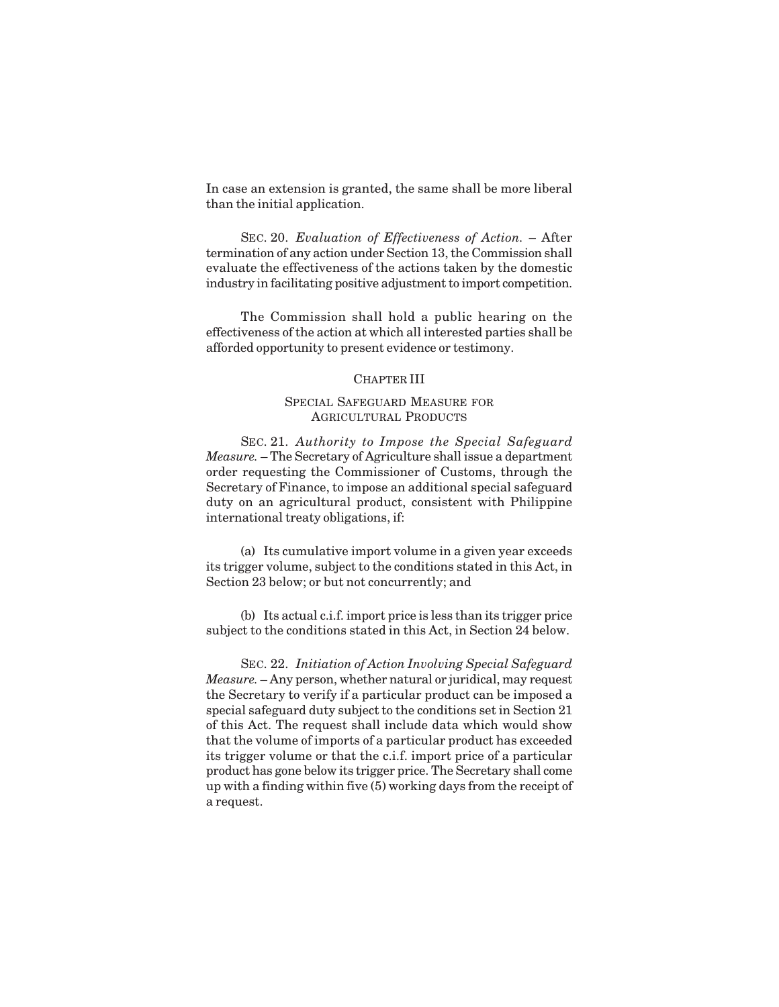In case an extension is granted, the same shall be more liberal than the initial application.

SEC. 20. *Evaluation of Effectiveness of Action.* – After termination of any action under Section 13, the Commission shall evaluate the effectiveness of the actions taken by the domestic industry in facilitating positive adjustment to import competition.

The Commission shall hold a public hearing on the effectiveness of the action at which all interested parties shall be afforded opportunity to present evidence or testimony.

#### CHAPTER III

### SPECIAL SAFEGUARD MEASURE FOR AGRICULTURAL PRODUCTS

SEC. 21. *Authority to Impose the Special Safeguard Measure.* – The Secretary of Agriculture shall issue a department order requesting the Commissioner of Customs, through the Secretary of Finance, to impose an additional special safeguard duty on an agricultural product, consistent with Philippine international treaty obligations, if:

(a) Its cumulative import volume in a given year exceeds its trigger volume, subject to the conditions stated in this Act, in Section 23 below; or but not concurrently; and

(b) Its actual c.i.f. import price is less than its trigger price subject to the conditions stated in this Act, in Section 24 below.

SEC. 22. *Initiation of Action Involving Special Safeguard Measure.* – Any person, whether natural or juridical, may request the Secretary to verify if a particular product can be imposed a special safeguard duty subject to the conditions set in Section 21 of this Act. The request shall include data which would show that the volume of imports of a particular product has exceeded its trigger volume or that the c.i.f. import price of a particular product has gone below its trigger price. The Secretary shall come up with a finding within five (5) working days from the receipt of a request.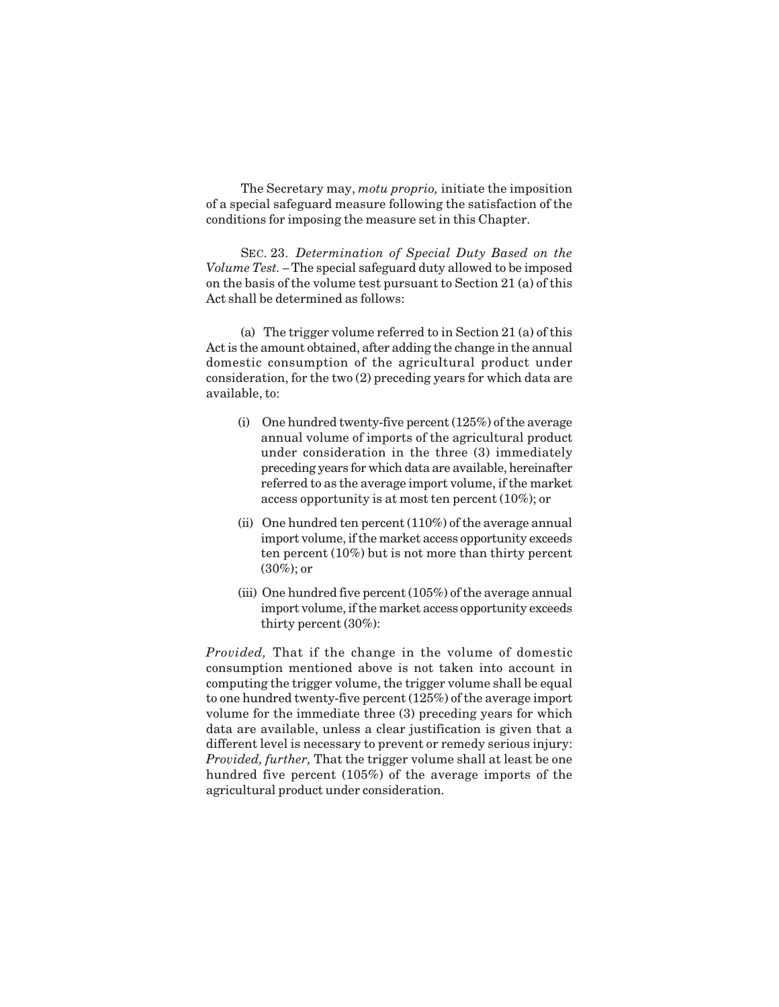The Secretary may, *motu proprio,* initiate the imposition of a special safeguard measure following the satisfaction of the conditions for imposing the measure set in this Chapter.

SEC. 23. *Determination of Special Duty Based on the Volume Test. –* The special safeguard duty allowed to be imposed on the basis of the volume test pursuant to Section 21 (a) of this Act shall be determined as follows:

(a) The trigger volume referred to in Section 21 (a) of this Act is the amount obtained, after adding the change in the annual domestic consumption of the agricultural product under consideration, for the two (2) preceding years for which data are available, to:

- (i) One hundred twenty-five percent (125%) of the average annual volume of imports of the agricultural product under consideration in the three (3) immediately preceding years for which data are available, hereinafter referred to as the average import volume, if the market access opportunity is at most ten percent (10%); or
- (ii) One hundred ten percent (110%) of the average annual import volume, if the market access opportunity exceeds ten percent (10%) but is not more than thirty percent (30%); or
- (iii) One hundred five percent (105%) of the average annual import volume, if the market access opportunity exceeds thirty percent (30%):

*Provided,* That if the change in the volume of domestic consumption mentioned above is not taken into account in computing the trigger volume, the trigger volume shall be equal to one hundred twenty-five percent (125%) of the average import volume for the immediate three (3) preceding years for which data are available, unless a clear justification is given that a different level is necessary to prevent or remedy serious injury: *Provided, further,* That the trigger volume shall at least be one hundred five percent (105%) of the average imports of the agricultural product under consideration.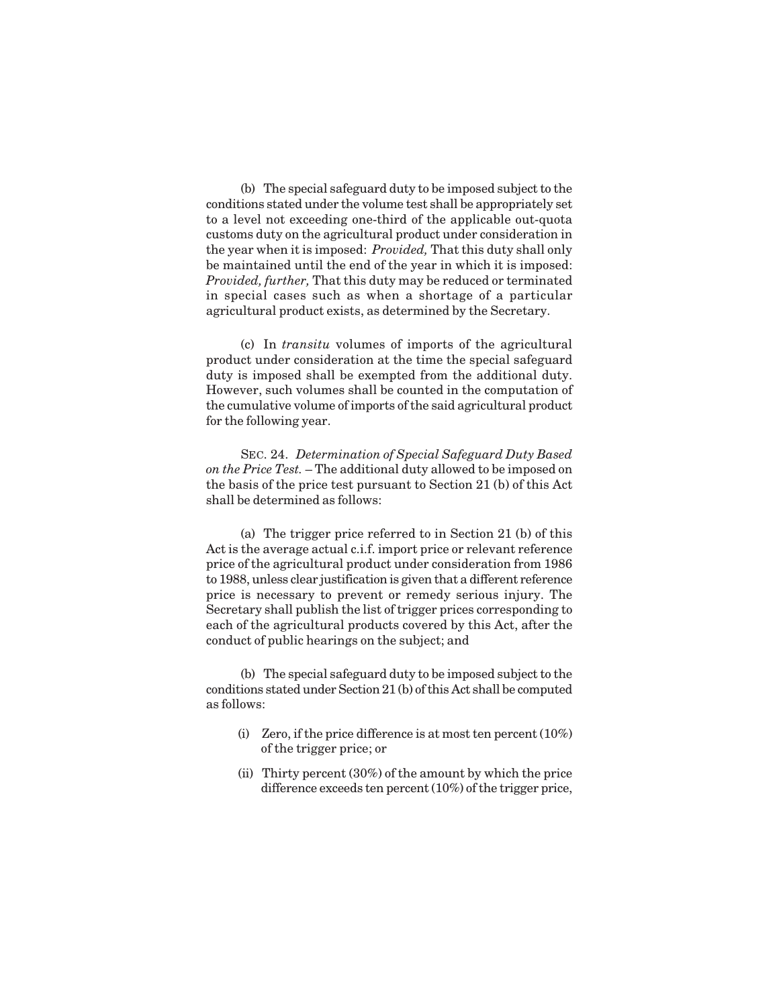(b) The special safeguard duty to be imposed subject to the conditions stated under the volume test shall be appropriately set to a level not exceeding one-third of the applicable out-quota customs duty on the agricultural product under consideration in the year when it is imposed: *Provided,* That this duty shall only be maintained until the end of the year in which it is imposed: *Provided, further,* That this duty may be reduced or terminated in special cases such as when a shortage of a particular agricultural product exists, as determined by the Secretary.

(c) In *transitu* volumes of imports of the agricultural product under consideration at the time the special safeguard duty is imposed shall be exempted from the additional duty. However, such volumes shall be counted in the computation of the cumulative volume of imports of the said agricultural product for the following year.

SEC. 24. *Determination of Special Safeguard Duty Based on the Price Test.* – The additional duty allowed to be imposed on the basis of the price test pursuant to Section 21 (b) of this Act shall be determined as follows:

(a) The trigger price referred to in Section 21 (b) of this Act is the average actual c.i.f. import price or relevant reference price of the agricultural product under consideration from 1986 to 1988, unless clear justification is given that a different reference price is necessary to prevent or remedy serious injury. The Secretary shall publish the list of trigger prices corresponding to each of the agricultural products covered by this Act, after the conduct of public hearings on the subject; and

(b) The special safeguard duty to be imposed subject to the conditions stated under Section 21 (b) of this Act shall be computed as follows:

- (i) Zero, if the price difference is at most ten percent (10%) of the trigger price; or
- (ii) Thirty percent (30%) of the amount by which the price difference exceeds ten percent (10%) of the trigger price,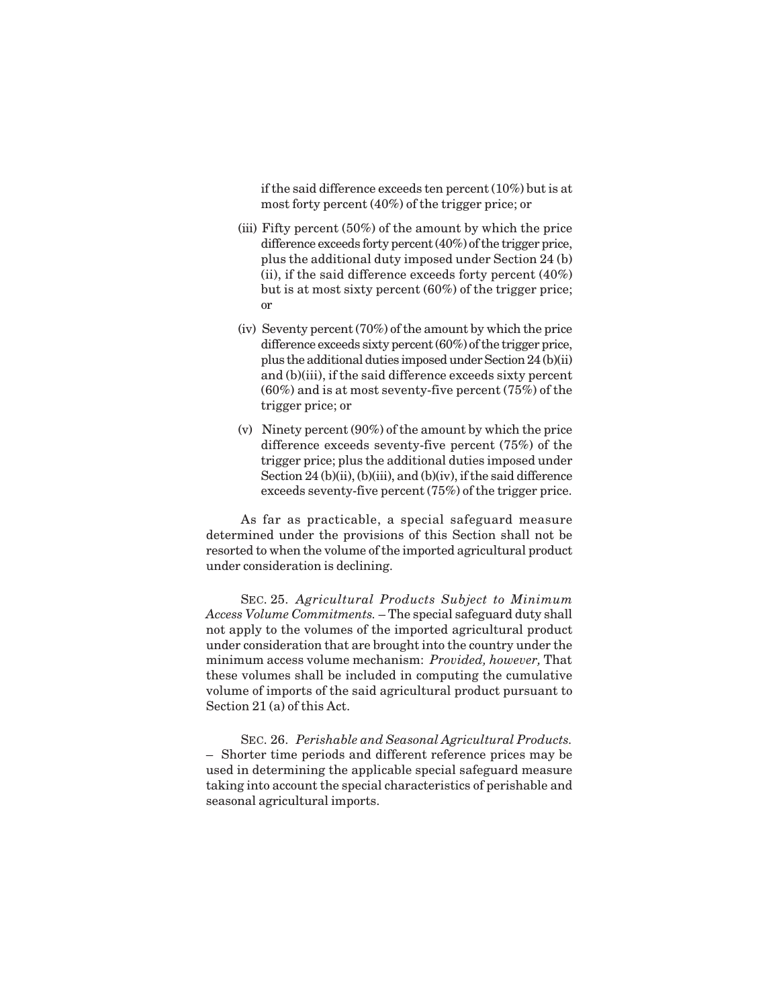if the said difference exceeds ten percent (10%) but is at most forty percent (40%) of the trigger price; or

- (iii) Fifty percent (50%) of the amount by which the price difference exceeds forty percent (40%) of the trigger price, plus the additional duty imposed under Section 24 (b) (ii), if the said difference exceeds forty percent (40%) but is at most sixty percent (60%) of the trigger price; or
- (iv) Seventy percent (70%) of the amount by which the price difference exceeds sixty percent (60%) of the trigger price, plus the additional duties imposed under Section 24 (b)(ii) and (b)(iii), if the said difference exceeds sixty percent (60%) and is at most seventy-five percent (75%) of the trigger price; or
- (v) Ninety percent (90%) of the amount by which the price difference exceeds seventy-five percent (75%) of the trigger price; plus the additional duties imposed under Section 24 (b)(ii), (b)(iii), and (b)(iv), if the said difference exceeds seventy-five percent (75%) of the trigger price.

As far as practicable, a special safeguard measure determined under the provisions of this Section shall not be resorted to when the volume of the imported agricultural product under consideration is declining.

SEC. 25. *Agricultural Products Subject to Minimum Access Volume Commitments.* – The special safeguard duty shall not apply to the volumes of the imported agricultural product under consideration that are brought into the country under the minimum access volume mechanism: *Provided, however,* That these volumes shall be included in computing the cumulative volume of imports of the said agricultural product pursuant to Section 21 (a) of this Act.

SEC. 26. *Perishable and Seasonal Agricultural Products.* – Shorter time periods and different reference prices may be used in determining the applicable special safeguard measure taking into account the special characteristics of perishable and seasonal agricultural imports.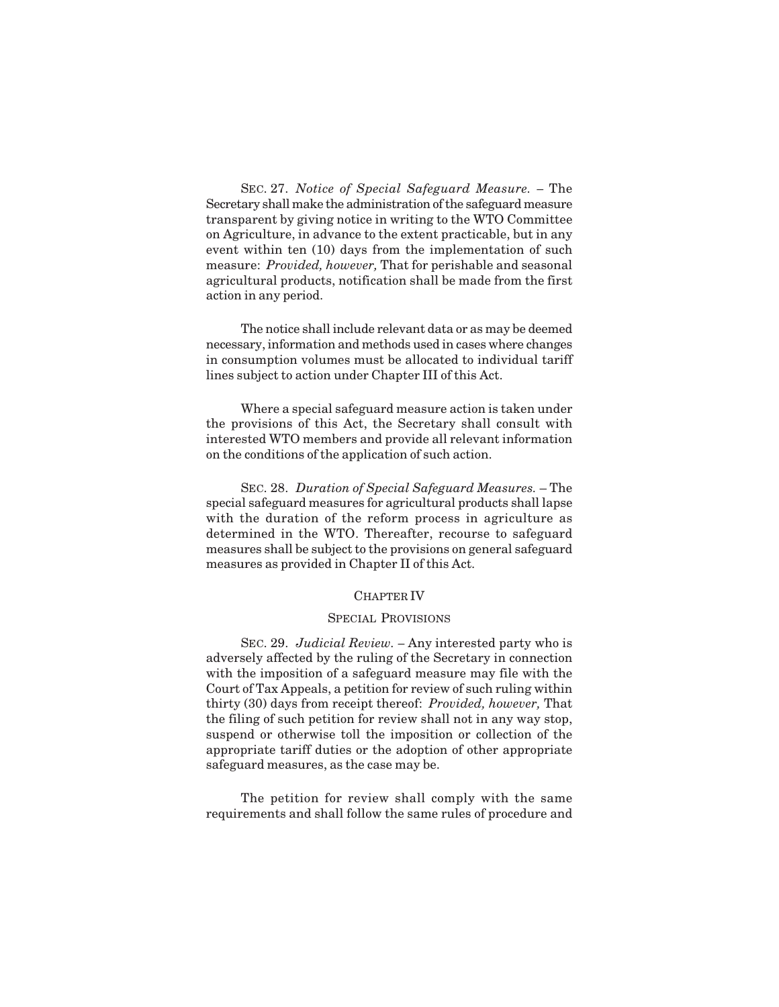SEC. 27. *Notice of Special Safeguard Measure. –* The Secretary shall make the administration of the safeguard measure transparent by giving notice in writing to the WTO Committee on Agriculture, in advance to the extent practicable, but in any event within ten (10) days from the implementation of such measure: *Provided, however,* That for perishable and seasonal agricultural products, notification shall be made from the first action in any period.

The notice shall include relevant data or as may be deemed necessary, information and methods used in cases where changes in consumption volumes must be allocated to individual tariff lines subject to action under Chapter III of this Act.

Where a special safeguard measure action is taken under the provisions of this Act, the Secretary shall consult with interested WTO members and provide all relevant information on the conditions of the application of such action.

SEC. 28. *Duration of Special Safeguard Measures.* – The special safeguard measures for agricultural products shall lapse with the duration of the reform process in agriculture as determined in the WTO. Thereafter, recourse to safeguard measures shall be subject to the provisions on general safeguard measures as provided in Chapter II of this Act.

# CHAPTER IV

#### SPECIAL PROVISIONS

SEC. 29. *Judicial Review. –* Any interested party who is adversely affected by the ruling of the Secretary in connection with the imposition of a safeguard measure may file with the Court of Tax Appeals, a petition for review of such ruling within thirty (30) days from receipt thereof: *Provided, however,* That the filing of such petition for review shall not in any way stop, suspend or otherwise toll the imposition or collection of the appropriate tariff duties or the adoption of other appropriate safeguard measures, as the case may be.

The petition for review shall comply with the same requirements and shall follow the same rules of procedure and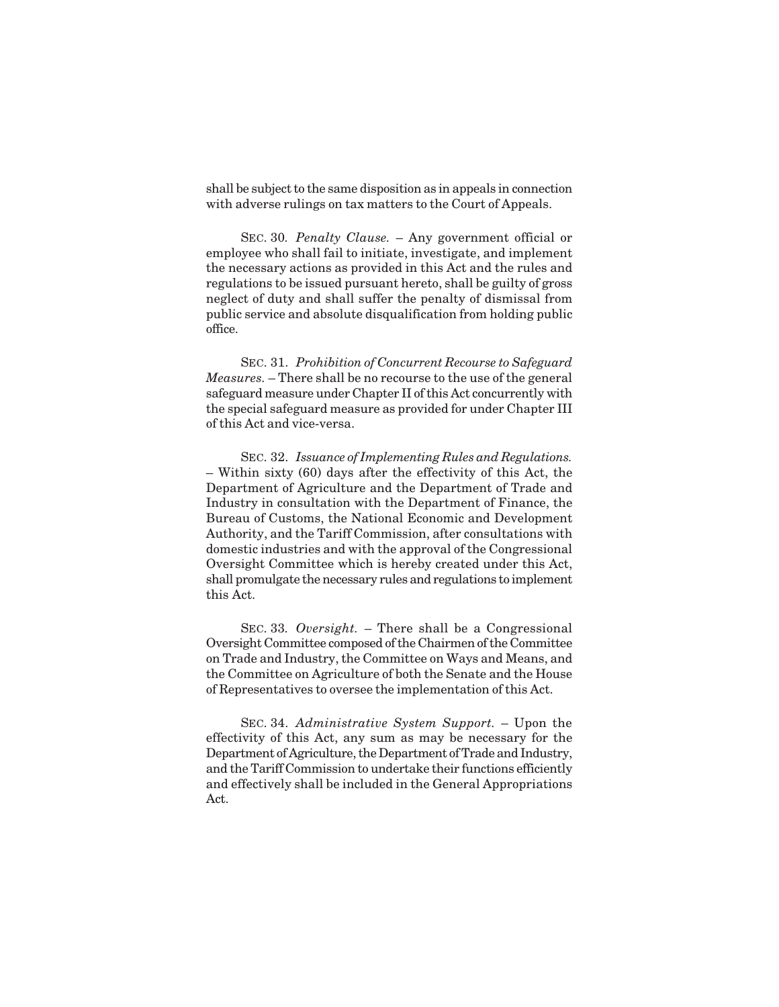shall be subject to the same disposition as in appeals in connection with adverse rulings on tax matters to the Court of Appeals.

SEC. 30*. Penalty Clause.* – Any government official or employee who shall fail to initiate, investigate, and implement the necessary actions as provided in this Act and the rules and regulations to be issued pursuant hereto, shall be guilty of gross neglect of duty and shall suffer the penalty of dismissal from public service and absolute disqualification from holding public office.

SEC. 31. *Prohibition of Concurrent Recourse to Safeguard Measures.* – There shall be no recourse to the use of the general safeguard measure under Chapter II of this Act concurrently with the special safeguard measure as provided for under Chapter III of this Act and vice-versa.

SEC. 32. *Issuance of Implementing Rules and Regulations.* – Within sixty (60) days after the effectivity of this Act, the Department of Agriculture and the Department of Trade and Industry in consultation with the Department of Finance, the Bureau of Customs, the National Economic and Development Authority, and the Tariff Commission, after consultations with domestic industries and with the approval of the Congressional Oversight Committee which is hereby created under this Act, shall promulgate the necessary rules and regulations to implement this Act.

SEC. 33*. Oversight.* – There shall be a Congressional Oversight Committee composed of the Chairmen of the Committee on Trade and Industry, the Committee on Ways and Means, and the Committee on Agriculture of both the Senate and the House of Representatives to oversee the implementation of this Act.

SEC. 34. *Administrative System Support.* – Upon the effectivity of this Act, any sum as may be necessary for the Department of Agriculture, the Department of Trade and Industry, and the Tariff Commission to undertake their functions efficiently and effectively shall be included in the General Appropriations Act.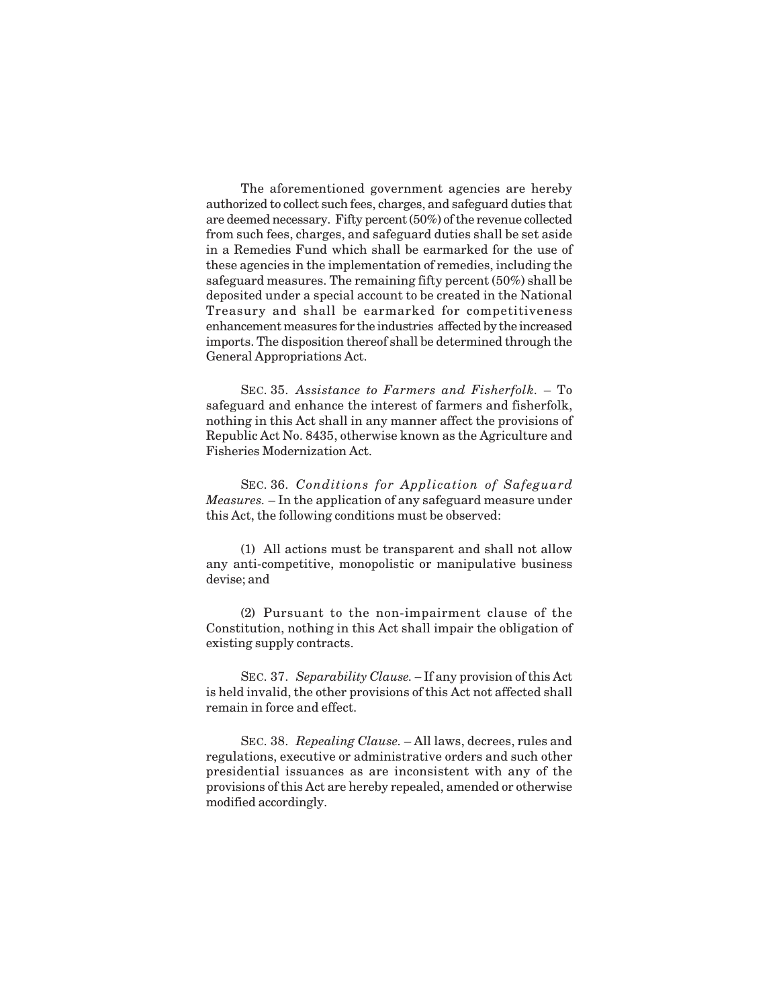The aforementioned government agencies are hereby authorized to collect such fees, charges, and safeguard duties that are deemed necessary. Fifty percent (50%) of the revenue collected from such fees, charges, and safeguard duties shall be set aside in a Remedies Fund which shall be earmarked for the use of these agencies in the implementation of remedies, including the safeguard measures. The remaining fifty percent (50%) shall be deposited under a special account to be created in the National Treasury and shall be earmarked for competitiveness enhancement measures for the industries affected by the increased imports. The disposition thereof shall be determined through the General Appropriations Act.

SEC. 35. *Assistance to Farmers and Fisherfolk.* – To safeguard and enhance the interest of farmers and fisherfolk, nothing in this Act shall in any manner affect the provisions of Republic Act No. 8435, otherwise known as the Agriculture and Fisheries Modernization Act.

SEC. 36. *Conditions for Application of Safeguard Measures.* – In the application of any safeguard measure under this Act, the following conditions must be observed:

(1) All actions must be transparent and shall not allow any anti-competitive, monopolistic or manipulative business devise; and

(2) Pursuant to the non-impairment clause of the Constitution, nothing in this Act shall impair the obligation of existing supply contracts.

SEC. 37. *Separability Clause. –* If any provision of this Act is held invalid, the other provisions of this Act not affected shall remain in force and effect.

SEC. 38. *Repealing Clause.* – All laws, decrees, rules and regulations, executive or administrative orders and such other presidential issuances as are inconsistent with any of the provisions of this Act are hereby repealed, amended or otherwise modified accordingly.